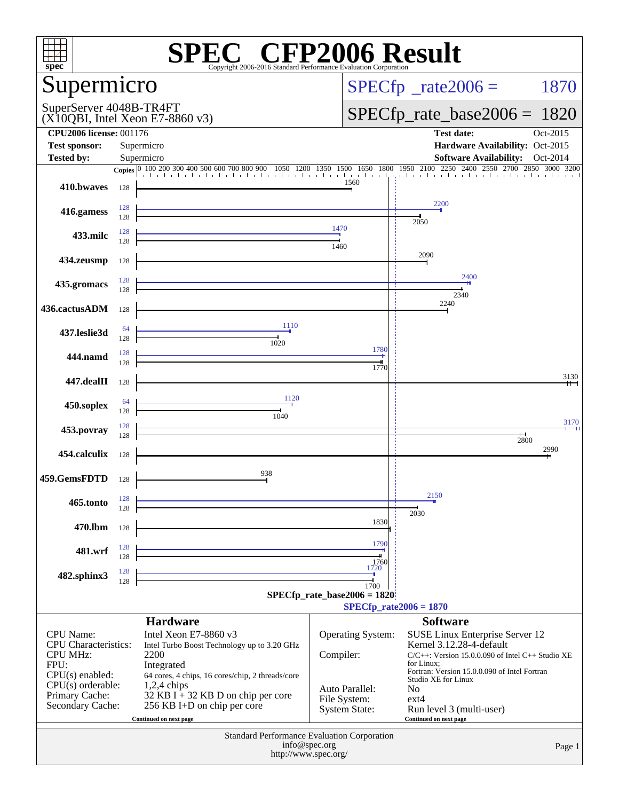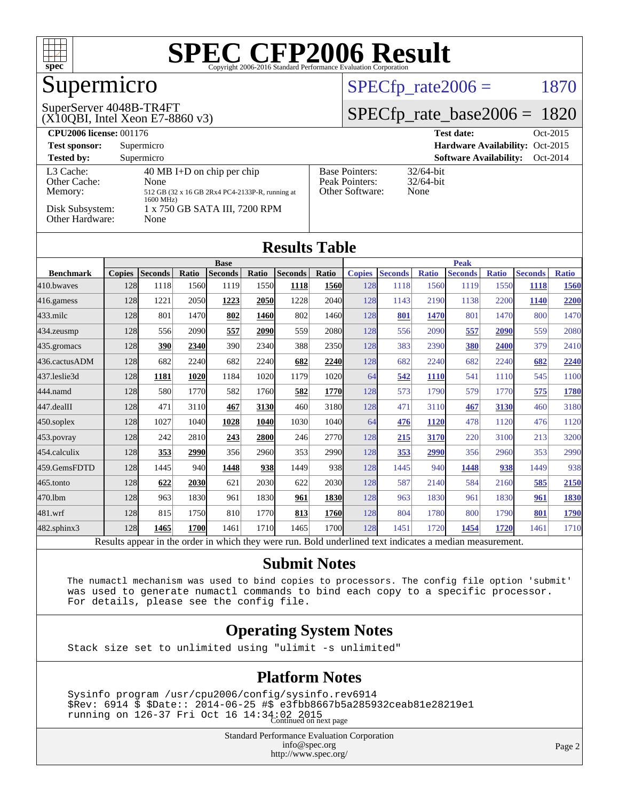

## Supermicro

### $SPECTp_rate2006 = 1870$

#### SuperServer 4048B-TR4FT

(X10QBI, Intel Xeon E7-8860 v3)

[SPECfp\\_rate\\_base2006 =](http://www.spec.org/auto/cpu2006/Docs/result-fields.html#SPECfpratebase2006) 1820

| <b>CPU2006 license: 001176</b>       |                                                                                       |                                                            | <b>Test date:</b><br>Oct-2015             |
|--------------------------------------|---------------------------------------------------------------------------------------|------------------------------------------------------------|-------------------------------------------|
| <b>Test sponsor:</b>                 | Supermicro                                                                            |                                                            | Hardware Availability: Oct-2015           |
| <b>Tested by:</b>                    | Supermicro                                                                            |                                                            | <b>Software Availability:</b><br>Oct-2014 |
| L3 Cache:<br>Other Cache:<br>Memory: | 40 MB I+D on chip per chip<br>None<br>512 GB (32 x 16 GB 2Rx4 PC4-2133P-R, running at | <b>Base Pointers:</b><br>Peak Pointers:<br>Other Software: | $32/64$ -bit<br>$32/64$ -bit<br>None      |
| Disk Subsystem:<br>Other Hardware:   | $1600 \text{ MHz}$<br>1 x 750 GB SATA III, 7200 RPM<br>None                           |                                                            |                                           |

| <b>Results Table</b> |               |                |       |                |       |                |       |               |                |              |                |              |                |              |
|----------------------|---------------|----------------|-------|----------------|-------|----------------|-------|---------------|----------------|--------------|----------------|--------------|----------------|--------------|
|                      |               | <b>Base</b>    |       |                |       |                |       | <b>Peak</b>   |                |              |                |              |                |              |
| <b>Benchmark</b>     | <b>Copies</b> | <b>Seconds</b> | Ratio | <b>Seconds</b> | Ratio | <b>Seconds</b> | Ratio | <b>Copies</b> | <b>Seconds</b> | <b>Ratio</b> | <b>Seconds</b> | <b>Ratio</b> | <b>Seconds</b> | <b>Ratio</b> |
| 410.bwayes           | 128           | 1118           | 1560  | 1119           | 1550  | 1118           | 1560  | 128           | 1118           | 1560         | 1119           | 1550         | <b>1118</b>    | <b>1560</b>  |
| 416.gamess           | 128           | 1221           | 2050  | 1223           | 2050  | 1228           | 2040  | 128           | 1143           | 2190         | 1138           | 2200         | 1140           | 2200         |
| $433$ .milc          | 128           | 801            | 1470  | 802            | 1460  | 802            | 1460  | 128           | 801            | 1470         | 801            | 1470         | 800            | 1470         |
| 434.zeusmp           | 128           | 556            | 2090  | 557            | 2090  | 559            | 2080  | 128           | 556            | 2090         | 557            | 2090         | 559            | 2080         |
| $435$ . gromacs      | 128           | 390            | 2340  | 390            | 2340  | 388            | 2350  | 128           | 383            | 2390         | 380            | 2400         | 379            | 2410         |
| 436.cactusADM        | 128           | 682            | 2240  | 682            | 2240  | 682            | 2240  | 128           | 682            | 2240         | 682            | 2240         | 682            | <b>2240</b>  |
| 437.leslie3d         | 128           | 1181           | 1020  | 1184           | 1020  | 1179           | 1020  | 64            | 542            | <b>1110</b>  | 541            | 1110         | 545            | 1100         |
| 444.namd             | 128           | 580            | 1770  | 582            | 1760  | 582            | 1770  | 128           | 573            | 1790         | 579            | 1770         | 575            | 1780         |
| 447.dealII           | 128           | 471            | 3110  | 467            | 3130  | 460            | 3180  | 128           | 471            | 3110         | 467            | 3130         | 460            | 3180         |
| $450$ .soplex        | 128           | 1027           | 1040  | 1028           | 1040  | 1030           | 1040  | 64            | 476            | 1120         | 478            | 1120         | 476            | 1120         |
| 453.povray           | 128           | 242            | 2810  | 243            | 2800  | 246            | 2770  | 128           | 215            | 3170         | 220            | 3100         | 213            | 3200         |
| 454.calculix         | 128           | 353            | 2990  | 356            | 2960  | 353            | 2990  | 128           | <u>353</u>     | 2990         | 356            | 2960         | 353            | 2990         |
| 459.GemsFDTD         | 128           | 1445           | 940   | 1448           | 938   | 1449           | 938   | 128           | 1445           | 940          | 1448           | 938          | 1449           | 938          |
| 465.tonto            | 128           | 622            | 2030  | 621            | 2030  | 622            | 2030  | 128           | 587            | 2140         | 584            | 2160         | 585            | 2150         |
| 470.1bm              | 128           | 963            | 1830  | 961            | 1830  | 961            | 1830  | 128           | 963            | 1830         | 961            | 1830         | 961            | 1830         |
| 481.wrf              | 128           | 815            | 1750  | 810            | 1770  | 813            | 1760  | 128           | 804            | 1780         | 800            | 1790         | 801            | 1790         |
| $482$ .sphinx $3$    | 128           | 1465           | 1700  | 1461           | 1710  | 1465           | 1700  | 128           | 1451           | 1720         | 1454           | 1720         | 1461           | 1710         |

Results appear in the [order in which they were run.](http://www.spec.org/auto/cpu2006/Docs/result-fields.html#RunOrder) Bold underlined text [indicates a median measurement.](http://www.spec.org/auto/cpu2006/Docs/result-fields.html#Median)

#### **[Submit Notes](http://www.spec.org/auto/cpu2006/Docs/result-fields.html#SubmitNotes)**

 The numactl mechanism was used to bind copies to processors. The config file option 'submit' was used to generate numactl commands to bind each copy to a specific processor. For details, please see the config file.

#### **[Operating System Notes](http://www.spec.org/auto/cpu2006/Docs/result-fields.html#OperatingSystemNotes)**

Stack size set to unlimited using "ulimit -s unlimited"

#### **[Platform Notes](http://www.spec.org/auto/cpu2006/Docs/result-fields.html#PlatformNotes)**

 Sysinfo program /usr/cpu2006/config/sysinfo.rev6914 \$Rev: 6914 \$ \$Date:: 2014-06-25 #\$ e3fbb8667b5a285932ceab81e28219e1 running on  $126-37$  Fri Oct  $16$   $14:34:02$   $2015$ <br>Continued on next page

> Standard Performance Evaluation Corporation [info@spec.org](mailto:info@spec.org) <http://www.spec.org/>

Page 2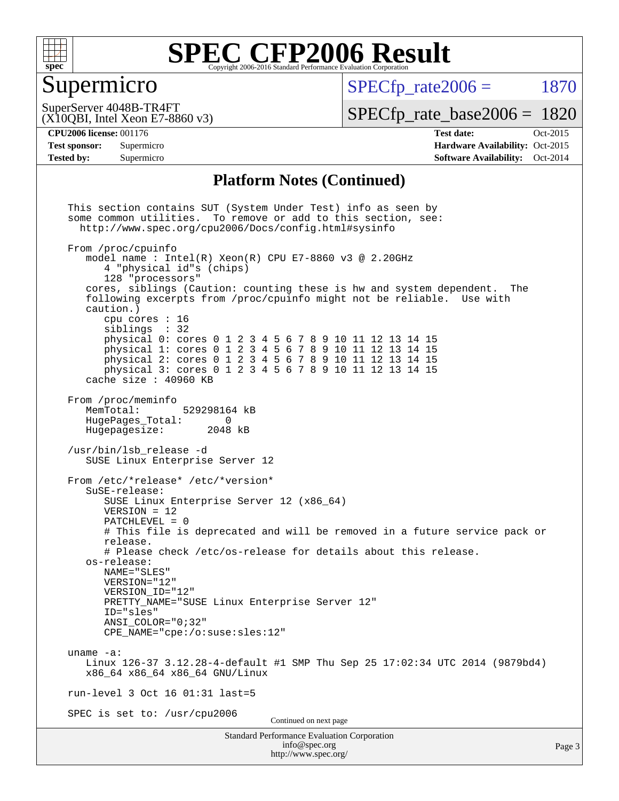

### Supermicro

 $SPECfp$  rate $2006 = 1870$ 

(X10QBI, Intel Xeon E7-8860 v3) SuperServer 4048B-TR4FT

[SPECfp\\_rate\\_base2006 =](http://www.spec.org/auto/cpu2006/Docs/result-fields.html#SPECfpratebase2006) 1820

**[CPU2006 license:](http://www.spec.org/auto/cpu2006/Docs/result-fields.html#CPU2006license)** 001176 **[Test date:](http://www.spec.org/auto/cpu2006/Docs/result-fields.html#Testdate)** Oct-2015 **[Test sponsor:](http://www.spec.org/auto/cpu2006/Docs/result-fields.html#Testsponsor)** Supermicro Supermicro **[Hardware Availability:](http://www.spec.org/auto/cpu2006/Docs/result-fields.html#HardwareAvailability)** Oct-2015 **[Tested by:](http://www.spec.org/auto/cpu2006/Docs/result-fields.html#Testedby)** Supermicro **[Software Availability:](http://www.spec.org/auto/cpu2006/Docs/result-fields.html#SoftwareAvailability)** Oct-2014

#### **[Platform Notes \(Continued\)](http://www.spec.org/auto/cpu2006/Docs/result-fields.html#PlatformNotes)**

Standard Performance Evaluation Corporation [info@spec.org](mailto:info@spec.org) <http://www.spec.org/> Page 3 This section contains SUT (System Under Test) info as seen by some common utilities. To remove or add to this section, see: <http://www.spec.org/cpu2006/Docs/config.html#sysinfo> From /proc/cpuinfo model name : Intel $(R)$  Xeon $(R)$  CPU E7-8860 v3 @ 2.20GHz 4 "physical id"s (chips) 128 "processors" cores, siblings (Caution: counting these is hw and system dependent. The following excerpts from /proc/cpuinfo might not be reliable. Use with caution.) cpu cores : 16 siblings : 32 physical 0: cores 0 1 2 3 4 5 6 7 8 9 10 11 12 13 14 15 physical 1: cores 0 1 2 3 4 5 6 7 8 9 10 11 12 13 14 15 physical 2: cores 0 1 2 3 4 5 6 7 8 9 10 11 12 13 14 15 physical 3: cores 0 1 2 3 4 5 6 7 8 9 10 11 12 13 14 15 cache size : 40960 KB From /proc/meminfo MemTotal: 529298164 kB HugePages\_Total: 0 Hugepagesize: 2048 kB /usr/bin/lsb\_release -d SUSE Linux Enterprise Server 12 From /etc/\*release\* /etc/\*version\* SuSE-release: SUSE Linux Enterprise Server 12 (x86\_64) VERSION = 12 PATCHLEVEL = 0 # This file is deprecated and will be removed in a future service pack or release. # Please check /etc/os-release for details about this release. os-release: NAME="SLES" VERSION="12" VERSION\_ID="12" PRETTY\_NAME="SUSE\_Linux Enterprise Server 12" ID="sles" ANSI\_COLOR="0;32" CPE\_NAME="cpe:/o:suse:sles:12" uname -a: Linux 126-37 3.12.28-4-default #1 SMP Thu Sep 25 17:02:34 UTC 2014 (9879bd4) x86\_64 x86\_64 x86\_64 GNU/Linux run-level 3 Oct 16 01:31 last=5 SPEC is set to: /usr/cpu2006 Continued on next page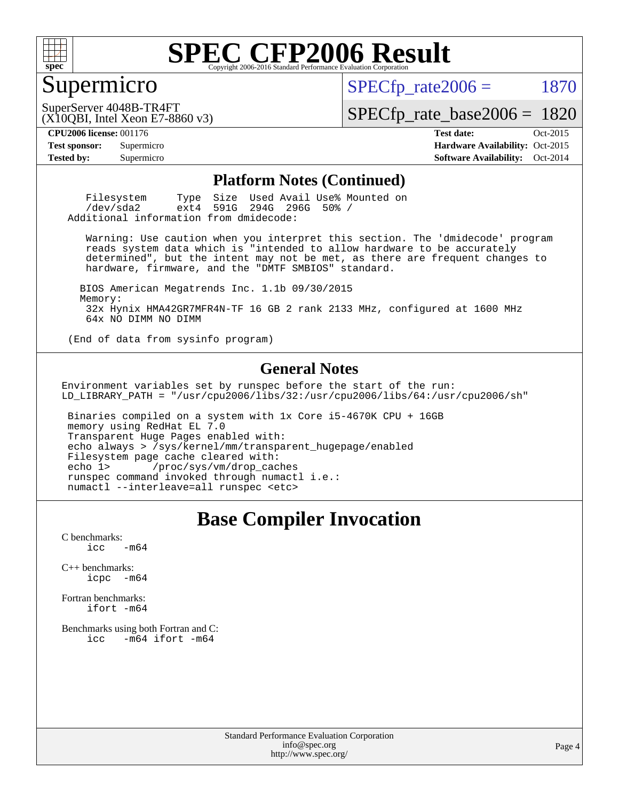

### Supermicro

 $SPECTp\_rate2006 = 1870$ 

(X10QBI, Intel Xeon E7-8860 v3) SuperServer 4048B-TR4FT

[SPECfp\\_rate\\_base2006 =](http://www.spec.org/auto/cpu2006/Docs/result-fields.html#SPECfpratebase2006) 1820

**[CPU2006 license:](http://www.spec.org/auto/cpu2006/Docs/result-fields.html#CPU2006license)** 001176 **[Test date:](http://www.spec.org/auto/cpu2006/Docs/result-fields.html#Testdate)** Oct-2015 **[Test sponsor:](http://www.spec.org/auto/cpu2006/Docs/result-fields.html#Testsponsor)** Supermicro Supermicro **[Hardware Availability:](http://www.spec.org/auto/cpu2006/Docs/result-fields.html#HardwareAvailability)** Oct-2015 **[Tested by:](http://www.spec.org/auto/cpu2006/Docs/result-fields.html#Testedby)** Supermicro **[Software Availability:](http://www.spec.org/auto/cpu2006/Docs/result-fields.html#SoftwareAvailability)** Oct-2014

#### **[Platform Notes \(Continued\)](http://www.spec.org/auto/cpu2006/Docs/result-fields.html#PlatformNotes)**

| Filesystem                             |                           |  | Type Size Used Avail Use% Mounted on |  |
|----------------------------------------|---------------------------|--|--------------------------------------|--|
| /dev/sda2                              | ext4 591G 294G 296G 50% / |  |                                      |  |
| Additional information from dmidecode: |                           |  |                                      |  |

 Warning: Use caution when you interpret this section. The 'dmidecode' program reads system data which is "intended to allow hardware to be accurately determined", but the intent may not be met, as there are frequent changes to hardware, firmware, and the "DMTF SMBIOS" standard.

 BIOS American Megatrends Inc. 1.1b 09/30/2015 Memory: 32x Hynix HMA42GR7MFR4N-TF 16 GB 2 rank 2133 MHz, configured at 1600 MHz 64x NO DIMM NO DIMM

(End of data from sysinfo program)

#### **[General Notes](http://www.spec.org/auto/cpu2006/Docs/result-fields.html#GeneralNotes)**

Environment variables set by runspec before the start of the run: LD\_LIBRARY\_PATH = "/usr/cpu2006/libs/32:/usr/cpu2006/libs/64:/usr/cpu2006/sh"

 Binaries compiled on a system with 1x Core i5-4670K CPU + 16GB memory using RedHat EL 7.0 Transparent Huge Pages enabled with: echo always > /sys/kernel/mm/transparent\_hugepage/enabled Filesystem page cache cleared with: echo 1> /proc/sys/vm/drop\_caches runspec command invoked through numactl i.e.: numactl --interleave=all runspec <etc>

### **[Base Compiler Invocation](http://www.spec.org/auto/cpu2006/Docs/result-fields.html#BaseCompilerInvocation)**

[C benchmarks](http://www.spec.org/auto/cpu2006/Docs/result-fields.html#Cbenchmarks):  $\text{icc}$   $-\text{m64}$ 

[C++ benchmarks:](http://www.spec.org/auto/cpu2006/Docs/result-fields.html#CXXbenchmarks) [icpc -m64](http://www.spec.org/cpu2006/results/res2016q1/cpu2006-20151216-38440.flags.html#user_CXXbase_intel_icpc_64bit_bedb90c1146cab66620883ef4f41a67e)

[Fortran benchmarks](http://www.spec.org/auto/cpu2006/Docs/result-fields.html#Fortranbenchmarks): [ifort -m64](http://www.spec.org/cpu2006/results/res2016q1/cpu2006-20151216-38440.flags.html#user_FCbase_intel_ifort_64bit_ee9d0fb25645d0210d97eb0527dcc06e)

[Benchmarks using both Fortran and C](http://www.spec.org/auto/cpu2006/Docs/result-fields.html#BenchmarksusingbothFortranandC): [icc -m64](http://www.spec.org/cpu2006/results/res2016q1/cpu2006-20151216-38440.flags.html#user_CC_FCbase_intel_icc_64bit_0b7121f5ab7cfabee23d88897260401c) [ifort -m64](http://www.spec.org/cpu2006/results/res2016q1/cpu2006-20151216-38440.flags.html#user_CC_FCbase_intel_ifort_64bit_ee9d0fb25645d0210d97eb0527dcc06e)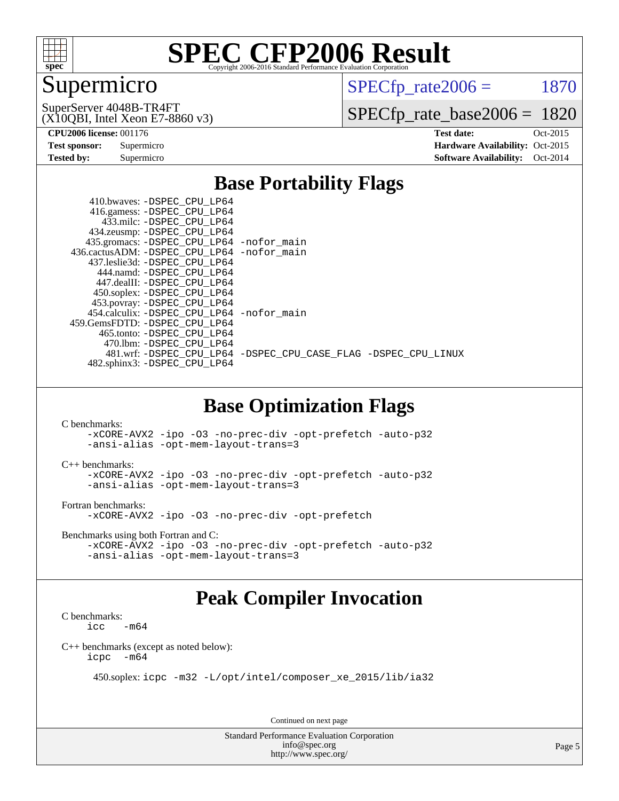

## Supermicro

 $SPECTp\_rate2006 = 1870$ 

(X10QBI, Intel Xeon E7-8860 v3) SuperServer 4048B-TR4FT

[SPECfp\\_rate\\_base2006 =](http://www.spec.org/auto/cpu2006/Docs/result-fields.html#SPECfpratebase2006) 1820

**[CPU2006 license:](http://www.spec.org/auto/cpu2006/Docs/result-fields.html#CPU2006license)** 001176 **[Test date:](http://www.spec.org/auto/cpu2006/Docs/result-fields.html#Testdate)** Oct-2015 **[Test sponsor:](http://www.spec.org/auto/cpu2006/Docs/result-fields.html#Testsponsor)** Supermicro Supermicro **[Hardware Availability:](http://www.spec.org/auto/cpu2006/Docs/result-fields.html#HardwareAvailability)** Oct-2015 **[Tested by:](http://www.spec.org/auto/cpu2006/Docs/result-fields.html#Testedby)** Supermicro **[Software Availability:](http://www.spec.org/auto/cpu2006/Docs/result-fields.html#SoftwareAvailability)** Oct-2014

### **[Base Portability Flags](http://www.spec.org/auto/cpu2006/Docs/result-fields.html#BasePortabilityFlags)**

| 410.bwaves: -DSPEC CPU LP64<br>416.gamess: -DSPEC_CPU_LP64<br>433.milc: -DSPEC CPU LP64 |                                                                |
|-----------------------------------------------------------------------------------------|----------------------------------------------------------------|
| 434.zeusmp: -DSPEC_CPU_LP64                                                             |                                                                |
| 435.gromacs: -DSPEC_CPU_LP64 -nofor_main                                                |                                                                |
| 436.cactusADM: - DSPEC CPU LP64 - nofor main                                            |                                                                |
| 437.leslie3d: -DSPEC CPU LP64                                                           |                                                                |
| 444.namd: -DSPEC CPU LP64                                                               |                                                                |
| 447.dealII: -DSPEC CPU LP64                                                             |                                                                |
| 450.soplex: -DSPEC_CPU_LP64                                                             |                                                                |
| 453.povray: -DSPEC_CPU_LP64                                                             |                                                                |
| 454.calculix: - DSPEC CPU LP64 - nofor main                                             |                                                                |
| 459. GemsFDTD: - DSPEC CPU LP64                                                         |                                                                |
| 465.tonto: - DSPEC CPU LP64                                                             |                                                                |
| 470.1bm: - DSPEC CPU LP64                                                               |                                                                |
|                                                                                         | 481.wrf: -DSPEC CPU_LP64 -DSPEC_CPU_CASE_FLAG -DSPEC_CPU_LINUX |
| 482.sphinx3: -DSPEC_CPU_LP64                                                            |                                                                |
|                                                                                         |                                                                |

### **[Base Optimization Flags](http://www.spec.org/auto/cpu2006/Docs/result-fields.html#BaseOptimizationFlags)**

[C benchmarks](http://www.spec.org/auto/cpu2006/Docs/result-fields.html#Cbenchmarks): [-xCORE-AVX2](http://www.spec.org/cpu2006/results/res2016q1/cpu2006-20151216-38440.flags.html#user_CCbase_f-xAVX2_5f5fc0cbe2c9f62c816d3e45806c70d7) [-ipo](http://www.spec.org/cpu2006/results/res2016q1/cpu2006-20151216-38440.flags.html#user_CCbase_f-ipo) [-O3](http://www.spec.org/cpu2006/results/res2016q1/cpu2006-20151216-38440.flags.html#user_CCbase_f-O3) [-no-prec-div](http://www.spec.org/cpu2006/results/res2016q1/cpu2006-20151216-38440.flags.html#user_CCbase_f-no-prec-div) [-opt-prefetch](http://www.spec.org/cpu2006/results/res2016q1/cpu2006-20151216-38440.flags.html#user_CCbase_f-opt-prefetch) [-auto-p32](http://www.spec.org/cpu2006/results/res2016q1/cpu2006-20151216-38440.flags.html#user_CCbase_f-auto-p32) [-ansi-alias](http://www.spec.org/cpu2006/results/res2016q1/cpu2006-20151216-38440.flags.html#user_CCbase_f-ansi-alias) [-opt-mem-layout-trans=3](http://www.spec.org/cpu2006/results/res2016q1/cpu2006-20151216-38440.flags.html#user_CCbase_f-opt-mem-layout-trans_a7b82ad4bd7abf52556d4961a2ae94d5)

[C++ benchmarks:](http://www.spec.org/auto/cpu2006/Docs/result-fields.html#CXXbenchmarks) [-xCORE-AVX2](http://www.spec.org/cpu2006/results/res2016q1/cpu2006-20151216-38440.flags.html#user_CXXbase_f-xAVX2_5f5fc0cbe2c9f62c816d3e45806c70d7) [-ipo](http://www.spec.org/cpu2006/results/res2016q1/cpu2006-20151216-38440.flags.html#user_CXXbase_f-ipo) [-O3](http://www.spec.org/cpu2006/results/res2016q1/cpu2006-20151216-38440.flags.html#user_CXXbase_f-O3) [-no-prec-div](http://www.spec.org/cpu2006/results/res2016q1/cpu2006-20151216-38440.flags.html#user_CXXbase_f-no-prec-div) [-opt-prefetch](http://www.spec.org/cpu2006/results/res2016q1/cpu2006-20151216-38440.flags.html#user_CXXbase_f-opt-prefetch) [-auto-p32](http://www.spec.org/cpu2006/results/res2016q1/cpu2006-20151216-38440.flags.html#user_CXXbase_f-auto-p32) [-ansi-alias](http://www.spec.org/cpu2006/results/res2016q1/cpu2006-20151216-38440.flags.html#user_CXXbase_f-ansi-alias) [-opt-mem-layout-trans=3](http://www.spec.org/cpu2006/results/res2016q1/cpu2006-20151216-38440.flags.html#user_CXXbase_f-opt-mem-layout-trans_a7b82ad4bd7abf52556d4961a2ae94d5)

[Fortran benchmarks](http://www.spec.org/auto/cpu2006/Docs/result-fields.html#Fortranbenchmarks):

[-xCORE-AVX2](http://www.spec.org/cpu2006/results/res2016q1/cpu2006-20151216-38440.flags.html#user_FCbase_f-xAVX2_5f5fc0cbe2c9f62c816d3e45806c70d7) [-ipo](http://www.spec.org/cpu2006/results/res2016q1/cpu2006-20151216-38440.flags.html#user_FCbase_f-ipo) [-O3](http://www.spec.org/cpu2006/results/res2016q1/cpu2006-20151216-38440.flags.html#user_FCbase_f-O3) [-no-prec-div](http://www.spec.org/cpu2006/results/res2016q1/cpu2006-20151216-38440.flags.html#user_FCbase_f-no-prec-div) [-opt-prefetch](http://www.spec.org/cpu2006/results/res2016q1/cpu2006-20151216-38440.flags.html#user_FCbase_f-opt-prefetch)

[Benchmarks using both Fortran and C](http://www.spec.org/auto/cpu2006/Docs/result-fields.html#BenchmarksusingbothFortranandC):

```
-xCORE-AVX2 -ipo -O3 -no-prec-div -opt-prefetch -auto-p32
-ansi-alias -opt-mem-layout-trans=3
```
### **[Peak Compiler Invocation](http://www.spec.org/auto/cpu2006/Docs/result-fields.html#PeakCompilerInvocation)**

[C benchmarks](http://www.spec.org/auto/cpu2006/Docs/result-fields.html#Cbenchmarks):  $\text{icc}$  -m64

[C++ benchmarks \(except as noted below\):](http://www.spec.org/auto/cpu2006/Docs/result-fields.html#CXXbenchmarksexceptasnotedbelow) [icpc -m64](http://www.spec.org/cpu2006/results/res2016q1/cpu2006-20151216-38440.flags.html#user_CXXpeak_intel_icpc_64bit_bedb90c1146cab66620883ef4f41a67e)

450.soplex: [icpc -m32 -L/opt/intel/composer\\_xe\\_2015/lib/ia32](http://www.spec.org/cpu2006/results/res2016q1/cpu2006-20151216-38440.flags.html#user_peakCXXLD450_soplex_intel_icpc_c2c99686a1a582c3e0de0b4806b02cea)

Continued on next page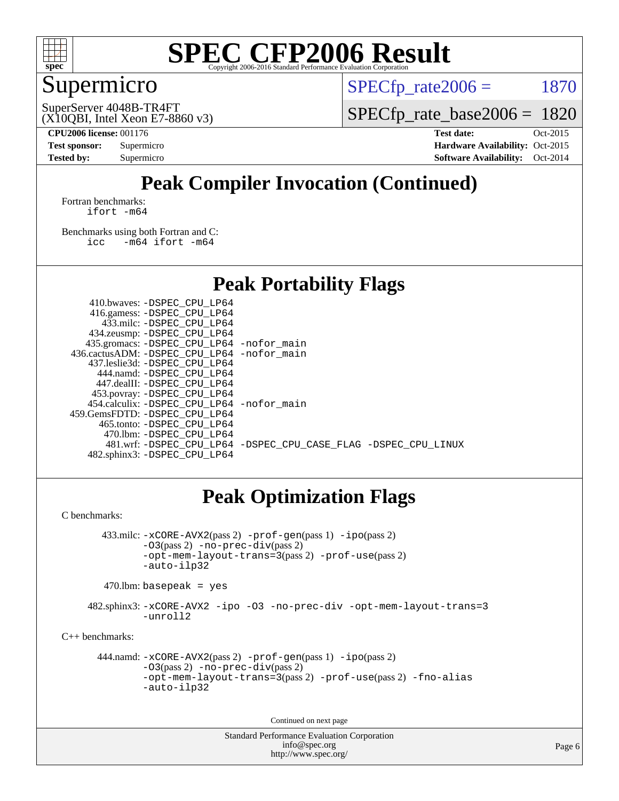

## Supermicro

 $SPECTp\_rate2006 = 1870$ 

(X10QBI, Intel Xeon E7-8860 v3) SuperServer 4048B-TR4FT

[SPECfp\\_rate\\_base2006 =](http://www.spec.org/auto/cpu2006/Docs/result-fields.html#SPECfpratebase2006) 1820

**[CPU2006 license:](http://www.spec.org/auto/cpu2006/Docs/result-fields.html#CPU2006license)** 001176 **[Test date:](http://www.spec.org/auto/cpu2006/Docs/result-fields.html#Testdate)** Oct-2015 **[Test sponsor:](http://www.spec.org/auto/cpu2006/Docs/result-fields.html#Testsponsor)** Supermicro Supermicro **[Hardware Availability:](http://www.spec.org/auto/cpu2006/Docs/result-fields.html#HardwareAvailability)** Oct-2015 **[Tested by:](http://www.spec.org/auto/cpu2006/Docs/result-fields.html#Testedby)** Supermicro **[Software Availability:](http://www.spec.org/auto/cpu2006/Docs/result-fields.html#SoftwareAvailability)** Oct-2014

## **[Peak Compiler Invocation \(Continued\)](http://www.spec.org/auto/cpu2006/Docs/result-fields.html#PeakCompilerInvocation)**

[Fortran benchmarks](http://www.spec.org/auto/cpu2006/Docs/result-fields.html#Fortranbenchmarks): [ifort -m64](http://www.spec.org/cpu2006/results/res2016q1/cpu2006-20151216-38440.flags.html#user_FCpeak_intel_ifort_64bit_ee9d0fb25645d0210d97eb0527dcc06e)

[Benchmarks using both Fortran and C](http://www.spec.org/auto/cpu2006/Docs/result-fields.html#BenchmarksusingbothFortranandC): [icc -m64](http://www.spec.org/cpu2006/results/res2016q1/cpu2006-20151216-38440.flags.html#user_CC_FCpeak_intel_icc_64bit_0b7121f5ab7cfabee23d88897260401c) [ifort -m64](http://www.spec.org/cpu2006/results/res2016q1/cpu2006-20151216-38440.flags.html#user_CC_FCpeak_intel_ifort_64bit_ee9d0fb25645d0210d97eb0527dcc06e)

 $410. \text{b}$ 

### **[Peak Portability Flags](http://www.spec.org/auto/cpu2006/Docs/result-fields.html#PeakPortabilityFlags)**

| 435.gromacs: -DSPEC_CPU_LP64 -nofor_main                       |
|----------------------------------------------------------------|
| 436.cactusADM: -DSPEC CPU LP64 -nofor main                     |
|                                                                |
|                                                                |
|                                                                |
|                                                                |
| 454.calculix: - DSPEC CPU LP64 - nofor main                    |
|                                                                |
|                                                                |
|                                                                |
| 481.wrf: -DSPEC_CPU_LP64 -DSPEC_CPU_CASE_FLAG -DSPEC_CPU_LINUX |
|                                                                |
|                                                                |

## **[Peak Optimization Flags](http://www.spec.org/auto/cpu2006/Docs/result-fields.html#PeakOptimizationFlags)**

[C benchmarks](http://www.spec.org/auto/cpu2006/Docs/result-fields.html#Cbenchmarks):

 433.milc: [-xCORE-AVX2](http://www.spec.org/cpu2006/results/res2016q1/cpu2006-20151216-38440.flags.html#user_peakPASS2_CFLAGSPASS2_LDFLAGS433_milc_f-xAVX2_5f5fc0cbe2c9f62c816d3e45806c70d7)(pass 2) [-prof-gen](http://www.spec.org/cpu2006/results/res2016q1/cpu2006-20151216-38440.flags.html#user_peakPASS1_CFLAGSPASS1_LDFLAGS433_milc_prof_gen_e43856698f6ca7b7e442dfd80e94a8fc)(pass 1) [-ipo](http://www.spec.org/cpu2006/results/res2016q1/cpu2006-20151216-38440.flags.html#user_peakPASS2_CFLAGSPASS2_LDFLAGS433_milc_f-ipo)(pass 2) [-O3](http://www.spec.org/cpu2006/results/res2016q1/cpu2006-20151216-38440.flags.html#user_peakPASS2_CFLAGSPASS2_LDFLAGS433_milc_f-O3)(pass 2) [-no-prec-div](http://www.spec.org/cpu2006/results/res2016q1/cpu2006-20151216-38440.flags.html#user_peakPASS2_CFLAGSPASS2_LDFLAGS433_milc_f-no-prec-div)(pass 2) [-opt-mem-layout-trans=3](http://www.spec.org/cpu2006/results/res2016q1/cpu2006-20151216-38440.flags.html#user_peakPASS2_CFLAGS433_milc_f-opt-mem-layout-trans_a7b82ad4bd7abf52556d4961a2ae94d5)(pass 2) [-prof-use](http://www.spec.org/cpu2006/results/res2016q1/cpu2006-20151216-38440.flags.html#user_peakPASS2_CFLAGSPASS2_LDFLAGS433_milc_prof_use_bccf7792157ff70d64e32fe3e1250b55)(pass 2) [-auto-ilp32](http://www.spec.org/cpu2006/results/res2016q1/cpu2006-20151216-38440.flags.html#user_peakCOPTIMIZE433_milc_f-auto-ilp32)

 $470$ .lbm: basepeak = yes

 482.sphinx3: [-xCORE-AVX2](http://www.spec.org/cpu2006/results/res2016q1/cpu2006-20151216-38440.flags.html#user_peakOPTIMIZE482_sphinx3_f-xAVX2_5f5fc0cbe2c9f62c816d3e45806c70d7) [-ipo](http://www.spec.org/cpu2006/results/res2016q1/cpu2006-20151216-38440.flags.html#user_peakOPTIMIZE482_sphinx3_f-ipo) [-O3](http://www.spec.org/cpu2006/results/res2016q1/cpu2006-20151216-38440.flags.html#user_peakOPTIMIZE482_sphinx3_f-O3) [-no-prec-div](http://www.spec.org/cpu2006/results/res2016q1/cpu2006-20151216-38440.flags.html#user_peakOPTIMIZE482_sphinx3_f-no-prec-div) [-opt-mem-layout-trans=3](http://www.spec.org/cpu2006/results/res2016q1/cpu2006-20151216-38440.flags.html#user_peakOPTIMIZE482_sphinx3_f-opt-mem-layout-trans_a7b82ad4bd7abf52556d4961a2ae94d5) [-unroll2](http://www.spec.org/cpu2006/results/res2016q1/cpu2006-20151216-38440.flags.html#user_peakCOPTIMIZE482_sphinx3_f-unroll_784dae83bebfb236979b41d2422d7ec2)

[C++ benchmarks:](http://www.spec.org/auto/cpu2006/Docs/result-fields.html#CXXbenchmarks)

 444.namd: [-xCORE-AVX2](http://www.spec.org/cpu2006/results/res2016q1/cpu2006-20151216-38440.flags.html#user_peakPASS2_CXXFLAGSPASS2_LDFLAGS444_namd_f-xAVX2_5f5fc0cbe2c9f62c816d3e45806c70d7)(pass 2) [-prof-gen](http://www.spec.org/cpu2006/results/res2016q1/cpu2006-20151216-38440.flags.html#user_peakPASS1_CXXFLAGSPASS1_LDFLAGS444_namd_prof_gen_e43856698f6ca7b7e442dfd80e94a8fc)(pass 1) [-ipo](http://www.spec.org/cpu2006/results/res2016q1/cpu2006-20151216-38440.flags.html#user_peakPASS2_CXXFLAGSPASS2_LDFLAGS444_namd_f-ipo)(pass 2) [-O3](http://www.spec.org/cpu2006/results/res2016q1/cpu2006-20151216-38440.flags.html#user_peakPASS2_CXXFLAGSPASS2_LDFLAGS444_namd_f-O3)(pass 2) [-no-prec-div](http://www.spec.org/cpu2006/results/res2016q1/cpu2006-20151216-38440.flags.html#user_peakPASS2_CXXFLAGSPASS2_LDFLAGS444_namd_f-no-prec-div)(pass 2) [-opt-mem-layout-trans=3](http://www.spec.org/cpu2006/results/res2016q1/cpu2006-20151216-38440.flags.html#user_peakPASS2_CXXFLAGS444_namd_f-opt-mem-layout-trans_a7b82ad4bd7abf52556d4961a2ae94d5)(pass 2) [-prof-use](http://www.spec.org/cpu2006/results/res2016q1/cpu2006-20151216-38440.flags.html#user_peakPASS2_CXXFLAGSPASS2_LDFLAGS444_namd_prof_use_bccf7792157ff70d64e32fe3e1250b55)(pass 2) [-fno-alias](http://www.spec.org/cpu2006/results/res2016q1/cpu2006-20151216-38440.flags.html#user_peakCXXOPTIMIZE444_namd_f-no-alias_694e77f6c5a51e658e82ccff53a9e63a) [-auto-ilp32](http://www.spec.org/cpu2006/results/res2016q1/cpu2006-20151216-38440.flags.html#user_peakCXXOPTIMIZE444_namd_f-auto-ilp32)

Continued on next page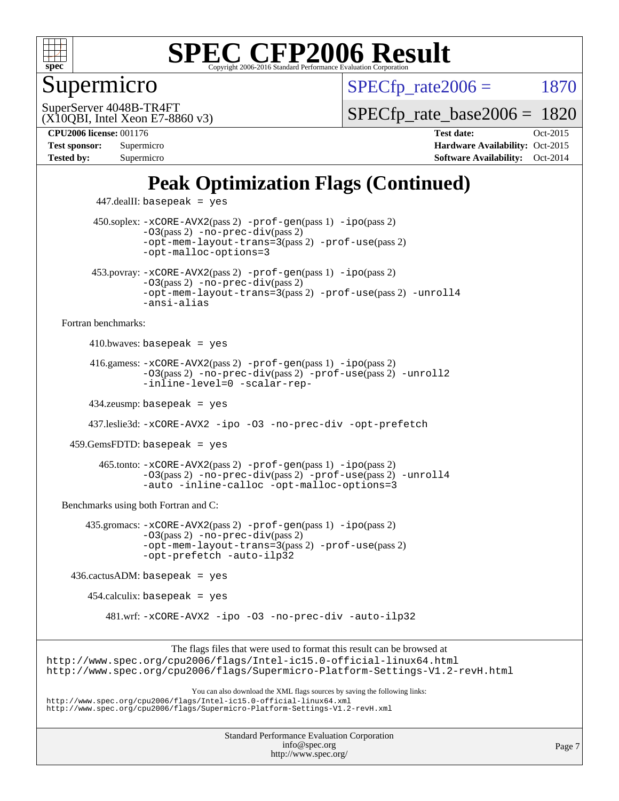

## Supermicro

 $SPECTp\_rate2006 = 1870$ 

(X10QBI, Intel Xeon E7-8860 v3) SuperServer 4048B-TR4FT

[SPECfp\\_rate\\_base2006 =](http://www.spec.org/auto/cpu2006/Docs/result-fields.html#SPECfpratebase2006) 1820

**[Tested by:](http://www.spec.org/auto/cpu2006/Docs/result-fields.html#Testedby)** Supermicro **[Software Availability:](http://www.spec.org/auto/cpu2006/Docs/result-fields.html#SoftwareAvailability)** Oct-2014

**[CPU2006 license:](http://www.spec.org/auto/cpu2006/Docs/result-fields.html#CPU2006license)** 001176 **[Test date:](http://www.spec.org/auto/cpu2006/Docs/result-fields.html#Testdate)** Oct-2015 **[Test sponsor:](http://www.spec.org/auto/cpu2006/Docs/result-fields.html#Testsponsor)** Supermicro Supermicro **[Hardware Availability:](http://www.spec.org/auto/cpu2006/Docs/result-fields.html#HardwareAvailability)** Oct-2015

## **[Peak Optimization Flags \(Continued\)](http://www.spec.org/auto/cpu2006/Docs/result-fields.html#PeakOptimizationFlags)**

 447.dealII: basepeak = yes 450.soplex: [-xCORE-AVX2](http://www.spec.org/cpu2006/results/res2016q1/cpu2006-20151216-38440.flags.html#user_peakPASS2_CXXFLAGSPASS2_LDFLAGS450_soplex_f-xAVX2_5f5fc0cbe2c9f62c816d3e45806c70d7)(pass 2) [-prof-gen](http://www.spec.org/cpu2006/results/res2016q1/cpu2006-20151216-38440.flags.html#user_peakPASS1_CXXFLAGSPASS1_LDFLAGS450_soplex_prof_gen_e43856698f6ca7b7e442dfd80e94a8fc)(pass 1) [-ipo](http://www.spec.org/cpu2006/results/res2016q1/cpu2006-20151216-38440.flags.html#user_peakPASS2_CXXFLAGSPASS2_LDFLAGS450_soplex_f-ipo)(pass 2)  $-03$ (pass 2)  $-no-prec-div(pass 2)$  $-no-prec-div(pass 2)$ [-opt-mem-layout-trans=3](http://www.spec.org/cpu2006/results/res2016q1/cpu2006-20151216-38440.flags.html#user_peakPASS2_CXXFLAGS450_soplex_f-opt-mem-layout-trans_a7b82ad4bd7abf52556d4961a2ae94d5)(pass 2) [-prof-use](http://www.spec.org/cpu2006/results/res2016q1/cpu2006-20151216-38440.flags.html#user_peakPASS2_CXXFLAGSPASS2_LDFLAGS450_soplex_prof_use_bccf7792157ff70d64e32fe3e1250b55)(pass 2) [-opt-malloc-options=3](http://www.spec.org/cpu2006/results/res2016q1/cpu2006-20151216-38440.flags.html#user_peakOPTIMIZE450_soplex_f-opt-malloc-options_13ab9b803cf986b4ee62f0a5998c2238) 453.povray: [-xCORE-AVX2](http://www.spec.org/cpu2006/results/res2016q1/cpu2006-20151216-38440.flags.html#user_peakPASS2_CXXFLAGSPASS2_LDFLAGS453_povray_f-xAVX2_5f5fc0cbe2c9f62c816d3e45806c70d7)(pass 2) [-prof-gen](http://www.spec.org/cpu2006/results/res2016q1/cpu2006-20151216-38440.flags.html#user_peakPASS1_CXXFLAGSPASS1_LDFLAGS453_povray_prof_gen_e43856698f6ca7b7e442dfd80e94a8fc)(pass 1) [-ipo](http://www.spec.org/cpu2006/results/res2016q1/cpu2006-20151216-38440.flags.html#user_peakPASS2_CXXFLAGSPASS2_LDFLAGS453_povray_f-ipo)(pass 2) [-O3](http://www.spec.org/cpu2006/results/res2016q1/cpu2006-20151216-38440.flags.html#user_peakPASS2_CXXFLAGSPASS2_LDFLAGS453_povray_f-O3)(pass 2) [-no-prec-div](http://www.spec.org/cpu2006/results/res2016q1/cpu2006-20151216-38440.flags.html#user_peakPASS2_CXXFLAGSPASS2_LDFLAGS453_povray_f-no-prec-div)(pass 2) [-opt-mem-layout-trans=3](http://www.spec.org/cpu2006/results/res2016q1/cpu2006-20151216-38440.flags.html#user_peakPASS2_CXXFLAGS453_povray_f-opt-mem-layout-trans_a7b82ad4bd7abf52556d4961a2ae94d5)(pass 2) [-prof-use](http://www.spec.org/cpu2006/results/res2016q1/cpu2006-20151216-38440.flags.html#user_peakPASS2_CXXFLAGSPASS2_LDFLAGS453_povray_prof_use_bccf7792157ff70d64e32fe3e1250b55)(pass 2) [-unroll4](http://www.spec.org/cpu2006/results/res2016q1/cpu2006-20151216-38440.flags.html#user_peakCXXOPTIMIZE453_povray_f-unroll_4e5e4ed65b7fd20bdcd365bec371b81f) [-ansi-alias](http://www.spec.org/cpu2006/results/res2016q1/cpu2006-20151216-38440.flags.html#user_peakCXXOPTIMIZE453_povray_f-ansi-alias) [Fortran benchmarks](http://www.spec.org/auto/cpu2006/Docs/result-fields.html#Fortranbenchmarks):  $410.bwaves: basepeak = yes$  416.gamess: [-xCORE-AVX2](http://www.spec.org/cpu2006/results/res2016q1/cpu2006-20151216-38440.flags.html#user_peakPASS2_FFLAGSPASS2_LDFLAGS416_gamess_f-xAVX2_5f5fc0cbe2c9f62c816d3e45806c70d7)(pass 2) [-prof-gen](http://www.spec.org/cpu2006/results/res2016q1/cpu2006-20151216-38440.flags.html#user_peakPASS1_FFLAGSPASS1_LDFLAGS416_gamess_prof_gen_e43856698f6ca7b7e442dfd80e94a8fc)(pass 1) [-ipo](http://www.spec.org/cpu2006/results/res2016q1/cpu2006-20151216-38440.flags.html#user_peakPASS2_FFLAGSPASS2_LDFLAGS416_gamess_f-ipo)(pass 2) [-O3](http://www.spec.org/cpu2006/results/res2016q1/cpu2006-20151216-38440.flags.html#user_peakPASS2_FFLAGSPASS2_LDFLAGS416_gamess_f-O3)(pass 2) [-no-prec-div](http://www.spec.org/cpu2006/results/res2016q1/cpu2006-20151216-38440.flags.html#user_peakPASS2_FFLAGSPASS2_LDFLAGS416_gamess_f-no-prec-div)(pass 2) [-prof-use](http://www.spec.org/cpu2006/results/res2016q1/cpu2006-20151216-38440.flags.html#user_peakPASS2_FFLAGSPASS2_LDFLAGS416_gamess_prof_use_bccf7792157ff70d64e32fe3e1250b55)(pass 2) [-unroll2](http://www.spec.org/cpu2006/results/res2016q1/cpu2006-20151216-38440.flags.html#user_peakOPTIMIZE416_gamess_f-unroll_784dae83bebfb236979b41d2422d7ec2) [-inline-level=0](http://www.spec.org/cpu2006/results/res2016q1/cpu2006-20151216-38440.flags.html#user_peakOPTIMIZE416_gamess_f-inline-level_318d07a09274ad25e8d15dbfaa68ba50) [-scalar-rep-](http://www.spec.org/cpu2006/results/res2016q1/cpu2006-20151216-38440.flags.html#user_peakOPTIMIZE416_gamess_f-disablescalarrep_abbcad04450fb118e4809c81d83c8a1d) 434.zeusmp: basepeak = yes 437.leslie3d: [-xCORE-AVX2](http://www.spec.org/cpu2006/results/res2016q1/cpu2006-20151216-38440.flags.html#user_peakOPTIMIZE437_leslie3d_f-xAVX2_5f5fc0cbe2c9f62c816d3e45806c70d7) [-ipo](http://www.spec.org/cpu2006/results/res2016q1/cpu2006-20151216-38440.flags.html#user_peakOPTIMIZE437_leslie3d_f-ipo) [-O3](http://www.spec.org/cpu2006/results/res2016q1/cpu2006-20151216-38440.flags.html#user_peakOPTIMIZE437_leslie3d_f-O3) [-no-prec-div](http://www.spec.org/cpu2006/results/res2016q1/cpu2006-20151216-38440.flags.html#user_peakOPTIMIZE437_leslie3d_f-no-prec-div) [-opt-prefetch](http://www.spec.org/cpu2006/results/res2016q1/cpu2006-20151216-38440.flags.html#user_peakOPTIMIZE437_leslie3d_f-opt-prefetch) 459.GemsFDTD: basepeak = yes 465.tonto: [-xCORE-AVX2](http://www.spec.org/cpu2006/results/res2016q1/cpu2006-20151216-38440.flags.html#user_peakPASS2_FFLAGSPASS2_LDFLAGS465_tonto_f-xAVX2_5f5fc0cbe2c9f62c816d3e45806c70d7)(pass 2) [-prof-gen](http://www.spec.org/cpu2006/results/res2016q1/cpu2006-20151216-38440.flags.html#user_peakPASS1_FFLAGSPASS1_LDFLAGS465_tonto_prof_gen_e43856698f6ca7b7e442dfd80e94a8fc)(pass 1) [-ipo](http://www.spec.org/cpu2006/results/res2016q1/cpu2006-20151216-38440.flags.html#user_peakPASS2_FFLAGSPASS2_LDFLAGS465_tonto_f-ipo)(pass 2) [-O3](http://www.spec.org/cpu2006/results/res2016q1/cpu2006-20151216-38440.flags.html#user_peakPASS2_FFLAGSPASS2_LDFLAGS465_tonto_f-O3)(pass 2) [-no-prec-div](http://www.spec.org/cpu2006/results/res2016q1/cpu2006-20151216-38440.flags.html#user_peakPASS2_FFLAGSPASS2_LDFLAGS465_tonto_f-no-prec-div)(pass 2) [-prof-use](http://www.spec.org/cpu2006/results/res2016q1/cpu2006-20151216-38440.flags.html#user_peakPASS2_FFLAGSPASS2_LDFLAGS465_tonto_prof_use_bccf7792157ff70d64e32fe3e1250b55)(pass 2) [-unroll4](http://www.spec.org/cpu2006/results/res2016q1/cpu2006-20151216-38440.flags.html#user_peakOPTIMIZE465_tonto_f-unroll_4e5e4ed65b7fd20bdcd365bec371b81f) [-auto](http://www.spec.org/cpu2006/results/res2016q1/cpu2006-20151216-38440.flags.html#user_peakOPTIMIZE465_tonto_f-auto) [-inline-calloc](http://www.spec.org/cpu2006/results/res2016q1/cpu2006-20151216-38440.flags.html#user_peakOPTIMIZE465_tonto_f-inline-calloc) [-opt-malloc-options=3](http://www.spec.org/cpu2006/results/res2016q1/cpu2006-20151216-38440.flags.html#user_peakOPTIMIZE465_tonto_f-opt-malloc-options_13ab9b803cf986b4ee62f0a5998c2238) [Benchmarks using both Fortran and C](http://www.spec.org/auto/cpu2006/Docs/result-fields.html#BenchmarksusingbothFortranandC): 435.gromacs: [-xCORE-AVX2](http://www.spec.org/cpu2006/results/res2016q1/cpu2006-20151216-38440.flags.html#user_peakPASS2_CFLAGSPASS2_FFLAGSPASS2_LDFLAGS435_gromacs_f-xAVX2_5f5fc0cbe2c9f62c816d3e45806c70d7)(pass 2) [-prof-gen](http://www.spec.org/cpu2006/results/res2016q1/cpu2006-20151216-38440.flags.html#user_peakPASS1_CFLAGSPASS1_FFLAGSPASS1_LDFLAGS435_gromacs_prof_gen_e43856698f6ca7b7e442dfd80e94a8fc)(pass 1) [-ipo](http://www.spec.org/cpu2006/results/res2016q1/cpu2006-20151216-38440.flags.html#user_peakPASS2_CFLAGSPASS2_FFLAGSPASS2_LDFLAGS435_gromacs_f-ipo)(pass 2) [-O3](http://www.spec.org/cpu2006/results/res2016q1/cpu2006-20151216-38440.flags.html#user_peakPASS2_CFLAGSPASS2_FFLAGSPASS2_LDFLAGS435_gromacs_f-O3)(pass 2) [-no-prec-div](http://www.spec.org/cpu2006/results/res2016q1/cpu2006-20151216-38440.flags.html#user_peakPASS2_CFLAGSPASS2_FFLAGSPASS2_LDFLAGS435_gromacs_f-no-prec-div)(pass 2) [-opt-mem-layout-trans=3](http://www.spec.org/cpu2006/results/res2016q1/cpu2006-20151216-38440.flags.html#user_peakPASS2_CFLAGS435_gromacs_f-opt-mem-layout-trans_a7b82ad4bd7abf52556d4961a2ae94d5)(pass 2) [-prof-use](http://www.spec.org/cpu2006/results/res2016q1/cpu2006-20151216-38440.flags.html#user_peakPASS2_CFLAGSPASS2_FFLAGSPASS2_LDFLAGS435_gromacs_prof_use_bccf7792157ff70d64e32fe3e1250b55)(pass 2) [-opt-prefetch](http://www.spec.org/cpu2006/results/res2016q1/cpu2006-20151216-38440.flags.html#user_peakOPTIMIZE435_gromacs_f-opt-prefetch) [-auto-ilp32](http://www.spec.org/cpu2006/results/res2016q1/cpu2006-20151216-38440.flags.html#user_peakCOPTIMIZE435_gromacs_f-auto-ilp32)  $436.cactusADM: basepeak = yes$  $454$ .calculix: basepeak = yes 481.wrf: [-xCORE-AVX2](http://www.spec.org/cpu2006/results/res2016q1/cpu2006-20151216-38440.flags.html#user_peakOPTIMIZE481_wrf_f-xAVX2_5f5fc0cbe2c9f62c816d3e45806c70d7) [-ipo](http://www.spec.org/cpu2006/results/res2016q1/cpu2006-20151216-38440.flags.html#user_peakOPTIMIZE481_wrf_f-ipo) [-O3](http://www.spec.org/cpu2006/results/res2016q1/cpu2006-20151216-38440.flags.html#user_peakOPTIMIZE481_wrf_f-O3) [-no-prec-div](http://www.spec.org/cpu2006/results/res2016q1/cpu2006-20151216-38440.flags.html#user_peakOPTIMIZE481_wrf_f-no-prec-div) [-auto-ilp32](http://www.spec.org/cpu2006/results/res2016q1/cpu2006-20151216-38440.flags.html#user_peakCOPTIMIZE481_wrf_f-auto-ilp32) The flags files that were used to format this result can be browsed at <http://www.spec.org/cpu2006/flags/Intel-ic15.0-official-linux64.html> <http://www.spec.org/cpu2006/flags/Supermicro-Platform-Settings-V1.2-revH.html> You can also download the XML flags sources by saving the following links: <http://www.spec.org/cpu2006/flags/Intel-ic15.0-official-linux64.xml> <http://www.spec.org/cpu2006/flags/Supermicro-Platform-Settings-V1.2-revH.xml>